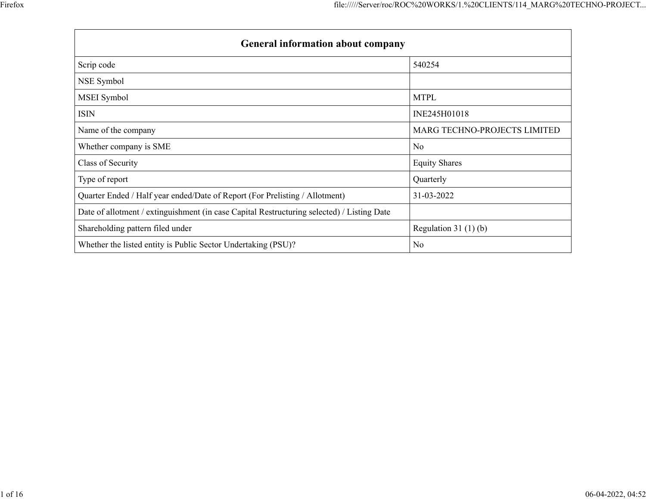| <b>General information about company</b>                                                   |                              |  |  |  |  |  |  |  |  |  |
|--------------------------------------------------------------------------------------------|------------------------------|--|--|--|--|--|--|--|--|--|
| Scrip code                                                                                 | 540254                       |  |  |  |  |  |  |  |  |  |
| NSE Symbol                                                                                 |                              |  |  |  |  |  |  |  |  |  |
| MSEI Symbol                                                                                | <b>MTPL</b>                  |  |  |  |  |  |  |  |  |  |
| <b>ISIN</b>                                                                                | INE245H01018                 |  |  |  |  |  |  |  |  |  |
| Name of the company                                                                        | MARG TECHNO-PROJECTS LIMITED |  |  |  |  |  |  |  |  |  |
| Whether company is SME                                                                     | No                           |  |  |  |  |  |  |  |  |  |
| Class of Security                                                                          | <b>Equity Shares</b>         |  |  |  |  |  |  |  |  |  |
| Type of report                                                                             | Quarterly                    |  |  |  |  |  |  |  |  |  |
| Quarter Ended / Half year ended/Date of Report (For Prelisting / Allotment)                | 31-03-2022                   |  |  |  |  |  |  |  |  |  |
| Date of allotment / extinguishment (in case Capital Restructuring selected) / Listing Date |                              |  |  |  |  |  |  |  |  |  |
| Shareholding pattern filed under                                                           | Regulation $31(1)(b)$        |  |  |  |  |  |  |  |  |  |
| Whether the listed entity is Public Sector Undertaking (PSU)?                              | N <sub>0</sub>               |  |  |  |  |  |  |  |  |  |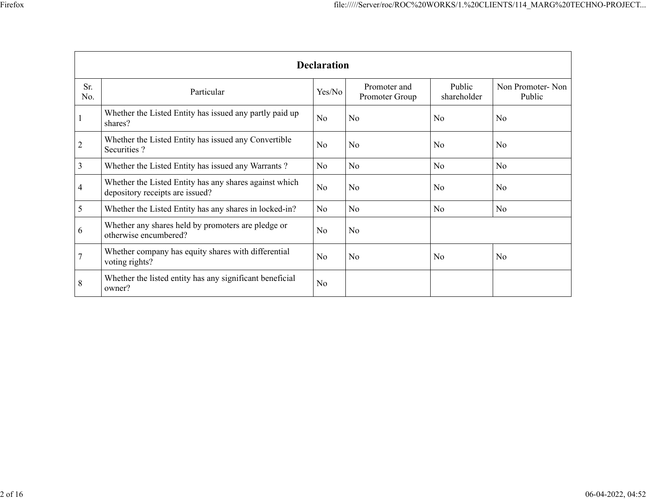|                | <b>Declaration</b>                                                                        |                |                                |                       |                            |  |  |  |  |  |  |
|----------------|-------------------------------------------------------------------------------------------|----------------|--------------------------------|-----------------------|----------------------------|--|--|--|--|--|--|
| Sr.<br>No.     | Particular                                                                                | Yes/No         | Promoter and<br>Promoter Group | Public<br>shareholder | Non Promoter-Non<br>Public |  |  |  |  |  |  |
|                | Whether the Listed Entity has issued any partly paid up<br>shares?                        | N <sub>o</sub> | N <sub>0</sub>                 | N <sub>o</sub>        | N <sub>o</sub>             |  |  |  |  |  |  |
| $\overline{2}$ | Whether the Listed Entity has issued any Convertible<br>Securities?                       | N <sub>0</sub> | N <sub>0</sub>                 | No                    | N <sub>o</sub>             |  |  |  |  |  |  |
| 3              | Whether the Listed Entity has issued any Warrants?                                        | N <sub>o</sub> | N <sub>o</sub>                 | N <sub>o</sub>        | N <sub>o</sub>             |  |  |  |  |  |  |
| $\overline{4}$ | Whether the Listed Entity has any shares against which<br>depository receipts are issued? | N <sub>o</sub> | N <sub>0</sub>                 | N <sub>0</sub>        | N <sub>0</sub>             |  |  |  |  |  |  |
| 5              | Whether the Listed Entity has any shares in locked-in?                                    | N <sub>o</sub> | No                             | No                    | N <sub>o</sub>             |  |  |  |  |  |  |
| 6              | Whether any shares held by promoters are pledge or<br>otherwise encumbered?               | N <sub>o</sub> | N <sub>0</sub>                 |                       |                            |  |  |  |  |  |  |
| $\overline{7}$ | Whether company has equity shares with differential<br>voting rights?                     | N <sub>o</sub> | N <sub>0</sub>                 | No                    | N <sub>o</sub>             |  |  |  |  |  |  |
| 8              | Whether the listed entity has any significant beneficial<br>owner?                        | N <sub>o</sub> |                                |                       |                            |  |  |  |  |  |  |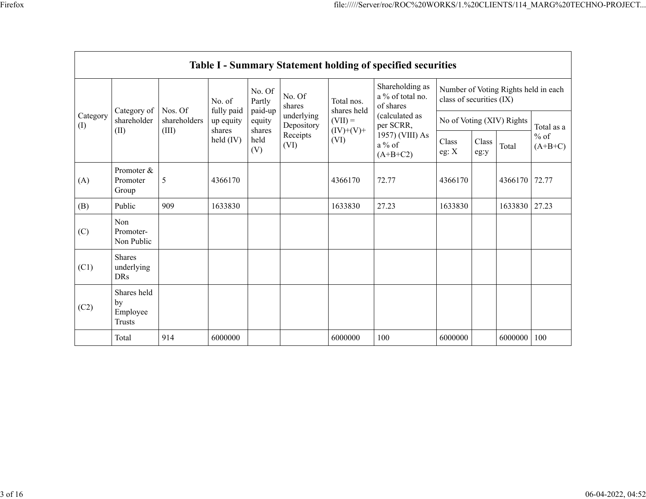|                 | Table I - Summary Statement holding of specified securities |                       |                                   |                                            |                                              |                                  |                                                                          |                                                                  |               |         |                     |  |
|-----------------|-------------------------------------------------------------|-----------------------|-----------------------------------|--------------------------------------------|----------------------------------------------|----------------------------------|--------------------------------------------------------------------------|------------------------------------------------------------------|---------------|---------|---------------------|--|
|                 |                                                             | Nos. Of               | No. of                            | No. Of<br>Partly                           | No. Of<br>shares                             | Total nos.<br>shares held        | Shareholding as<br>a % of total no.<br>of shares                         | Number of Voting Rights held in each<br>class of securities (IX) |               |         |                     |  |
| Category<br>(I) | Category of<br>shareholder                                  | shareholders<br>(III) | fully paid<br>up equity<br>shares | paid-up<br>equity<br>shares<br>held<br>(V) | underlying<br>Depository<br>Receipts<br>(VI) | $(VII) =$<br>$(IV)+(V)+$<br>(VI) | (calculated as<br>per SCRR,<br>1957) (VIII) As<br>$a\%$ of<br>$(A+B+C2)$ | No of Voting (XIV) Rights                                        |               |         | Total as a          |  |
|                 | (II)                                                        |                       | held (IV)                         |                                            |                                              |                                  |                                                                          | Class<br>eg: $X$                                                 | Class<br>eg:y | Total   | $%$ of<br>$(A+B+C)$ |  |
| (A)             | Promoter $&$<br>Promoter<br>Group                           | 5                     | 4366170                           |                                            |                                              | 4366170                          | 72.77                                                                    | 4366170                                                          |               | 4366170 | 72.77               |  |
| (B)             | Public                                                      | 909                   | 1633830                           |                                            |                                              | 1633830                          | 27.23                                                                    | 1633830                                                          |               | 1633830 | 27.23               |  |
| (C)             | Non<br>Promoter-<br>Non Public                              |                       |                                   |                                            |                                              |                                  |                                                                          |                                                                  |               |         |                     |  |
| (C1)            | <b>Shares</b><br>underlying<br>DRs                          |                       |                                   |                                            |                                              |                                  |                                                                          |                                                                  |               |         |                     |  |
| (C2)            | Shares held<br>by<br>Employee<br>Trusts                     |                       |                                   |                                            |                                              |                                  |                                                                          |                                                                  |               |         |                     |  |
|                 | Total                                                       | 914                   | 6000000                           |                                            |                                              | 6000000                          | 100                                                                      | 6000000                                                          |               | 6000000 | 100                 |  |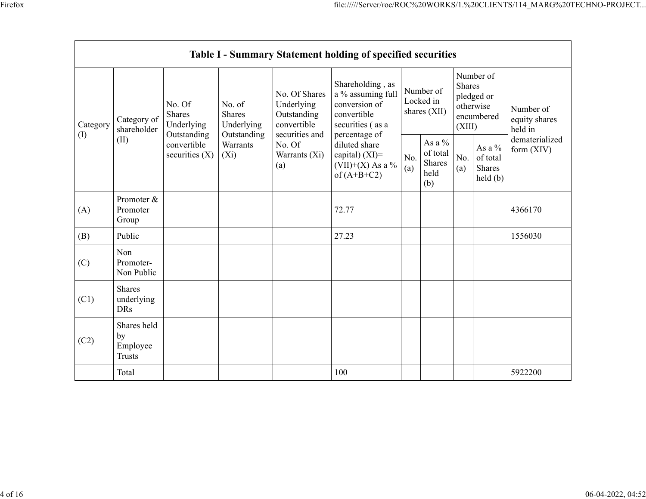|                 |                                                |                                                      |                                               |                                                                                                             | Table I - Summary Statement holding of specified securities                                                |            |                                               |                         |                                                         |                                       |  |
|-----------------|------------------------------------------------|------------------------------------------------------|-----------------------------------------------|-------------------------------------------------------------------------------------------------------------|------------------------------------------------------------------------------------------------------------|------------|-----------------------------------------------|-------------------------|---------------------------------------------------------|---------------------------------------|--|
| Category<br>(1) | Category of<br>shareholder                     | No. Of<br><b>Shares</b><br>Underlying<br>Outstanding | No. of<br>Shares<br>Underlying<br>Outstanding | No. Of Shares<br>Underlying<br>Outstanding<br>convertible<br>securities and                                 | Shareholding, as<br>a % assuming full<br>conversion of<br>convertible<br>securities (as a<br>percentage of |            | Number of<br>Locked in<br>shares (XII)        | <b>Shares</b><br>(XIII) | Number of<br>pledged or<br>otherwise<br>encumbered      | Number of<br>equity shares<br>held in |  |
|                 | (II)                                           | convertible<br>securities $(X)$                      | Warrants<br>$(X_i)$                           | No. Of<br>diluted share<br>capital) $(XI)$ =<br>Warrants (Xi)<br>$(VII)+(X)$ As a %<br>(a)<br>of $(A+B+C2)$ |                                                                                                            | No.<br>(a) | As a $%$<br>of total<br>Shares<br>held<br>(b) | No.<br>(a)              | As a %<br>of total<br>Shares<br>$\text{held}(\text{b})$ | dematerialized<br>form $(XIV)$        |  |
| (A)             | Promoter &<br>Promoter<br>Group                |                                                      |                                               |                                                                                                             | 72.77                                                                                                      |            |                                               |                         |                                                         | 4366170                               |  |
| (B)             | Public                                         |                                                      |                                               |                                                                                                             | 27.23                                                                                                      |            |                                               |                         |                                                         | 1556030                               |  |
| (C)             | Non<br>Promoter-<br>Non Public                 |                                                      |                                               |                                                                                                             |                                                                                                            |            |                                               |                         |                                                         |                                       |  |
| (C1)            | <b>Shares</b><br>underlying<br><b>DRs</b>      |                                                      |                                               |                                                                                                             |                                                                                                            |            |                                               |                         |                                                         |                                       |  |
| (C2)            | Shares held<br>by<br>Employee<br><b>Trusts</b> |                                                      |                                               |                                                                                                             |                                                                                                            |            |                                               |                         |                                                         |                                       |  |
|                 | Total                                          |                                                      |                                               |                                                                                                             | 100                                                                                                        |            |                                               |                         |                                                         | 5922200                               |  |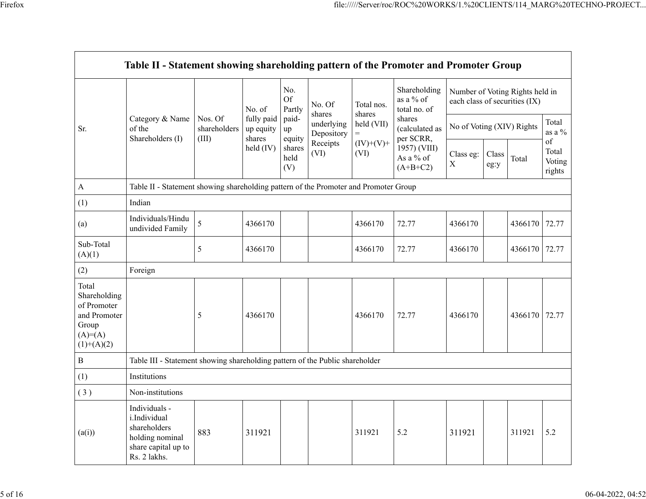|                                                                                             | Table II - Statement showing shareholding pattern of the Promoter and Promoter Group                    |                                  |                                   |                            |                          |                      |                                           |                                                                  |               |         |                                 |
|---------------------------------------------------------------------------------------------|---------------------------------------------------------------------------------------------------------|----------------------------------|-----------------------------------|----------------------------|--------------------------|----------------------|-------------------------------------------|------------------------------------------------------------------|---------------|---------|---------------------------------|
|                                                                                             |                                                                                                         |                                  | No. of                            | No.<br><b>Of</b><br>Partly | No. Of<br>shares         | Total nos.<br>shares | Shareholding<br>as a % of<br>total no. of | Number of Voting Rights held in<br>each class of securities (IX) |               |         |                                 |
| Sr.                                                                                         | Category & Name<br>of the<br>Shareholders (I)                                                           | Nos. Of<br>shareholders<br>(III) | fully paid<br>up equity<br>shares | paid-<br>up<br>equity      | underlying<br>Depository | held (VII)<br>$=$    | shares<br>(calculated as<br>per SCRR,     | No of Voting (XIV) Rights                                        |               |         | Total<br>as a $%$               |
|                                                                                             |                                                                                                         |                                  | held (IV)                         | shares<br>held<br>(V)      | Receipts<br>(VI)         | $(IV)+(V)+$<br>(VI)  | 1957) (VIII)<br>As a % of<br>$(A+B+C2)$   | Class eg:<br>$\mathbf X$                                         | Class<br>eg:y | Total   | of<br>Total<br>Voting<br>rights |
| $\boldsymbol{\mathsf{A}}$                                                                   | Table II - Statement showing shareholding pattern of the Promoter and Promoter Group                    |                                  |                                   |                            |                          |                      |                                           |                                                                  |               |         |                                 |
| (1)                                                                                         | Indian                                                                                                  |                                  |                                   |                            |                          |                      |                                           |                                                                  |               |         |                                 |
| (a)                                                                                         | Individuals/Hindu<br>undivided Family                                                                   | 5                                | 4366170                           |                            |                          | 4366170              | 72.77                                     | 4366170                                                          |               | 4366170 | 72.77                           |
| Sub-Total<br>(A)(1)                                                                         |                                                                                                         | 5                                | 4366170                           |                            |                          | 4366170              | 72.77                                     | 4366170                                                          |               | 4366170 | 72.77                           |
| (2)                                                                                         | Foreign                                                                                                 |                                  |                                   |                            |                          |                      |                                           |                                                                  |               |         |                                 |
| Total<br>Shareholding<br>of Promoter<br>and Promoter<br>Group<br>$(A)= (A)$<br>$(1)+(A)(2)$ |                                                                                                         | 5                                | 4366170                           |                            |                          | 4366170              | 72.77                                     | 4366170                                                          |               | 4366170 | 72.77                           |
| $\, {\bf B}$                                                                                | Table III - Statement showing shareholding pattern of the Public shareholder                            |                                  |                                   |                            |                          |                      |                                           |                                                                  |               |         |                                 |
| (1)                                                                                         | Institutions                                                                                            |                                  |                                   |                            |                          |                      |                                           |                                                                  |               |         |                                 |
| (3)                                                                                         | Non-institutions                                                                                        |                                  |                                   |                            |                          |                      |                                           |                                                                  |               |         |                                 |
| (a(i))                                                                                      | Individuals -<br>i.Individual<br>shareholders<br>holding nominal<br>share capital up to<br>Rs. 2 lakhs. | 883                              | 311921                            |                            |                          | 311921               | 5.2                                       | 311921                                                           |               | 311921  | 5.2                             |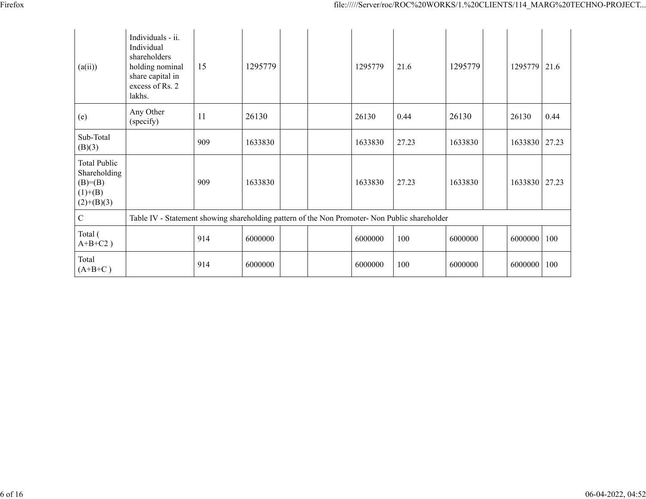| (a(ii))                                                                        | Individuals - ii.<br>Individual<br>shareholders<br>holding nominal<br>share capital in<br>excess of Rs. 2<br>lakhs. | 15  | 1295779 |  | 1295779 | 21.6  | 1295779 | 1295779 | 21.6  |
|--------------------------------------------------------------------------------|---------------------------------------------------------------------------------------------------------------------|-----|---------|--|---------|-------|---------|---------|-------|
| (e)                                                                            | Any Other<br>(specify)                                                                                              | 11  | 26130   |  | 26130   | 0.44  | 26130   | 26130   | 0.44  |
| Sub-Total<br>(B)(3)                                                            |                                                                                                                     | 909 | 1633830 |  | 1633830 | 27.23 | 1633830 | 1633830 | 27.23 |
| <b>Total Public</b><br>Shareholding<br>$(B)= (B)$<br>$(1)+(B)$<br>$(2)+(B)(3)$ |                                                                                                                     | 909 | 1633830 |  | 1633830 | 27.23 | 1633830 | 1633830 | 27.23 |
| $\mathcal{C}$                                                                  | Table IV - Statement showing shareholding pattern of the Non Promoter- Non Public shareholder                       |     |         |  |         |       |         |         |       |
| Total (<br>$A+B+C2$ )                                                          |                                                                                                                     | 914 | 6000000 |  | 6000000 | 100   | 6000000 | 6000000 | 100   |
| Total<br>$(A+B+C)$                                                             |                                                                                                                     | 914 | 6000000 |  | 6000000 | 100   | 6000000 | 6000000 | 100   |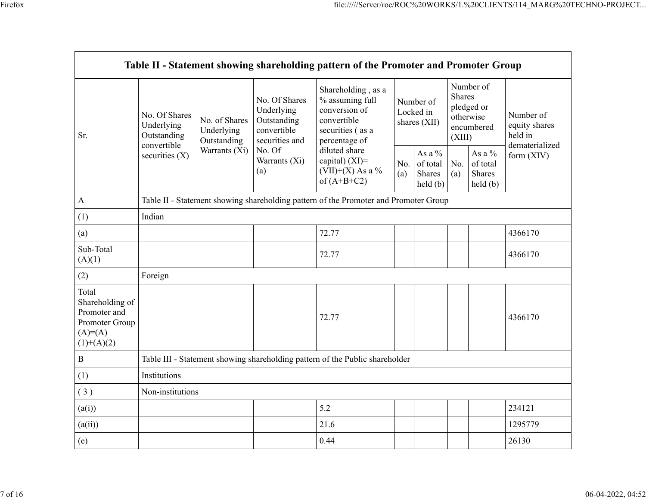|                                                                                          |                                                           |                                                                                      |                                                                             | Table II - Statement showing shareholding pattern of the Promoter and Promoter Group                       |                                                                         |                                        |                                                                               |                                                |                                       |  |
|------------------------------------------------------------------------------------------|-----------------------------------------------------------|--------------------------------------------------------------------------------------|-----------------------------------------------------------------------------|------------------------------------------------------------------------------------------------------------|-------------------------------------------------------------------------|----------------------------------------|-------------------------------------------------------------------------------|------------------------------------------------|---------------------------------------|--|
| Sr.                                                                                      | No. Of Shares<br>Underlying<br>Outstanding<br>convertible | No. of Shares<br>Underlying<br>Outstanding                                           | No. Of Shares<br>Underlying<br>Outstanding<br>convertible<br>securities and | Shareholding, as a<br>% assuming full<br>conversion of<br>convertible<br>securities (as a<br>percentage of |                                                                         | Number of<br>Locked in<br>shares (XII) | Number of<br><b>Shares</b><br>pledged or<br>otherwise<br>encumbered<br>(XIII) |                                                | Number of<br>equity shares<br>held in |  |
|                                                                                          | securities $(X)$                                          | Warrants (Xi)                                                                        | No. Of<br>Warrants (Xi)<br>(a)                                              | diluted share<br>capital) (XI)=<br>$(VII)+(X)$ As a %<br>of $(A+B+C2)$                                     | As a $%$<br>No.<br>of total<br>Shares<br>(a)<br>$\text{held}(\text{b})$ |                                        | No.<br>(a)                                                                    | As a %<br>of total<br><b>Shares</b><br>held(b) | dematerialized<br>form $(XIV)$        |  |
| $\boldsymbol{\mathsf{A}}$                                                                |                                                           | Table II - Statement showing shareholding pattern of the Promoter and Promoter Group |                                                                             |                                                                                                            |                                                                         |                                        |                                                                               |                                                |                                       |  |
| (1)                                                                                      | Indian                                                    |                                                                                      |                                                                             |                                                                                                            |                                                                         |                                        |                                                                               |                                                |                                       |  |
| (a)                                                                                      |                                                           |                                                                                      |                                                                             | 72.77                                                                                                      |                                                                         |                                        |                                                                               |                                                | 4366170                               |  |
| Sub-Total<br>(A)(1)                                                                      |                                                           |                                                                                      |                                                                             | 72.77                                                                                                      |                                                                         |                                        |                                                                               |                                                | 4366170                               |  |
| (2)                                                                                      | Foreign                                                   |                                                                                      |                                                                             |                                                                                                            |                                                                         |                                        |                                                                               |                                                |                                       |  |
| Total<br>Shareholding of<br>Promoter and<br>Promoter Group<br>$(A)= (A)$<br>$(1)+(A)(2)$ |                                                           |                                                                                      |                                                                             | 72.77                                                                                                      |                                                                         |                                        |                                                                               |                                                | 4366170                               |  |
| $\, {\bf B}$                                                                             |                                                           |                                                                                      |                                                                             | Table III - Statement showing shareholding pattern of the Public shareholder                               |                                                                         |                                        |                                                                               |                                                |                                       |  |
| (1)                                                                                      | Institutions                                              |                                                                                      |                                                                             |                                                                                                            |                                                                         |                                        |                                                                               |                                                |                                       |  |
| (3)                                                                                      | Non-institutions                                          |                                                                                      |                                                                             |                                                                                                            |                                                                         |                                        |                                                                               |                                                |                                       |  |
| (a(i))                                                                                   |                                                           | 5.2<br>234121                                                                        |                                                                             |                                                                                                            |                                                                         |                                        |                                                                               |                                                |                                       |  |
| (a(ii))                                                                                  |                                                           |                                                                                      |                                                                             | 21.6                                                                                                       |                                                                         |                                        |                                                                               |                                                | 1295779                               |  |
| (e)                                                                                      |                                                           |                                                                                      |                                                                             | 0.44                                                                                                       |                                                                         |                                        |                                                                               |                                                | 26130                                 |  |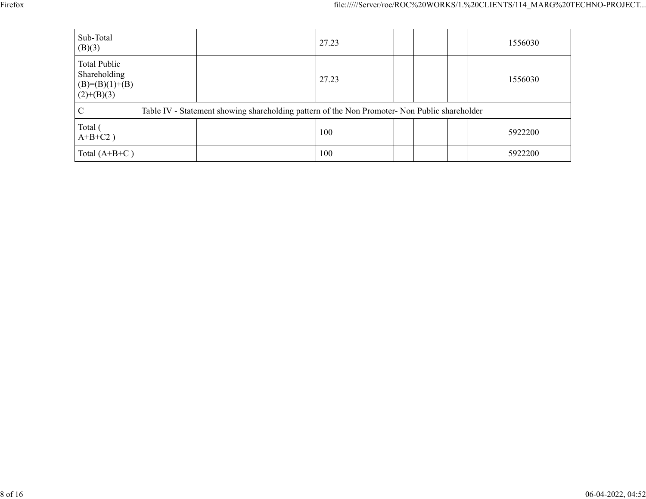| Sub-Total<br>(B)(3)                                                      |  | 27.23                                                                                         |  |  | 1556030 |
|--------------------------------------------------------------------------|--|-----------------------------------------------------------------------------------------------|--|--|---------|
| <b>Total Public</b><br>Shareholding<br>$(B)= (B)(1)+(B)$<br>$(2)+(B)(3)$ |  | 27.23                                                                                         |  |  | 1556030 |
| $\mathcal{C}$                                                            |  | Table IV - Statement showing shareholding pattern of the Non Promoter- Non Public shareholder |  |  |         |
| Total (<br>$A+B+C2$ )                                                    |  | 100                                                                                           |  |  | 5922200 |
| Total $(A+B+C)$                                                          |  | 100                                                                                           |  |  | 5922200 |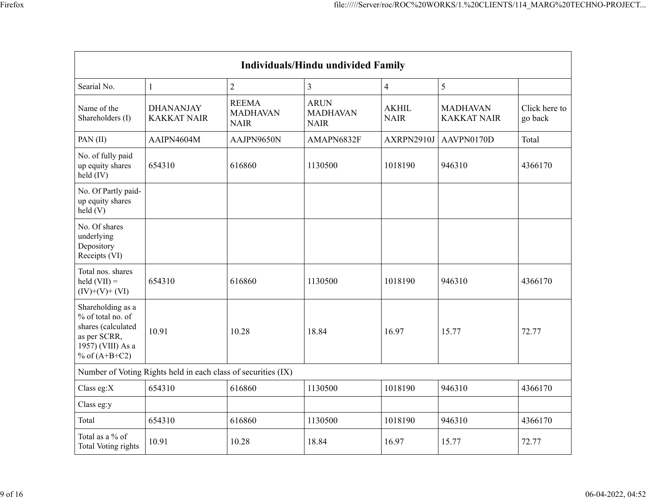| <b>Individuals/Hindu undivided Family</b>                                                                            |                                                               |                                                |                                               |                             |                                       |                          |  |  |  |  |
|----------------------------------------------------------------------------------------------------------------------|---------------------------------------------------------------|------------------------------------------------|-----------------------------------------------|-----------------------------|---------------------------------------|--------------------------|--|--|--|--|
| Searial No.                                                                                                          | $\mathbf{1}$                                                  | $\overline{2}$                                 | $\overline{3}$                                | $\overline{4}$              | 5                                     |                          |  |  |  |  |
| Name of the<br>Shareholders (I)                                                                                      | <b>DHANANJAY</b><br><b>KAKKAT NAIR</b>                        | <b>REEMA</b><br><b>MADHAVAN</b><br><b>NAIR</b> | <b>ARUN</b><br><b>MADHAVAN</b><br><b>NAIR</b> | <b>AKHIL</b><br><b>NAIR</b> | <b>MADHAVAN</b><br><b>KAKKAT NAIR</b> | Click here to<br>go back |  |  |  |  |
| PAN(II)                                                                                                              | AAIPN4604M                                                    | AAJPN9650N                                     | AMAPN6832F                                    | AXRPN2910J                  | AAVPN0170D                            | Total                    |  |  |  |  |
| No. of fully paid<br>up equity shares<br>held (IV)                                                                   | 654310                                                        | 616860                                         | 1130500                                       | 1018190                     | 946310                                | 4366170                  |  |  |  |  |
| No. Of Partly paid-<br>up equity shares<br>held(V)                                                                   |                                                               |                                                |                                               |                             |                                       |                          |  |  |  |  |
| No. Of shares<br>underlying<br>Depository<br>Receipts (VI)                                                           |                                                               |                                                |                                               |                             |                                       |                          |  |  |  |  |
| Total nos. shares<br>$\text{held (VII)} =$<br>$(IV)+(V)+(VI)$                                                        | 654310                                                        | 616860                                         | 1130500                                       | 1018190                     | 946310                                | 4366170                  |  |  |  |  |
| Shareholding as a<br>% of total no. of<br>shares (calculated<br>as per SCRR,<br>1957) (VIII) As a<br>% of $(A+B+C2)$ | 10.91                                                         | 10.28                                          | 18.84                                         | 16.97                       | 15.77                                 | 72.77                    |  |  |  |  |
|                                                                                                                      | Number of Voting Rights held in each class of securities (IX) |                                                |                                               |                             |                                       |                          |  |  |  |  |
| Class eg:X                                                                                                           | 654310                                                        | 616860                                         | 1130500                                       | 1018190                     | 946310                                | 4366170                  |  |  |  |  |
| Class eg:y                                                                                                           |                                                               |                                                |                                               |                             |                                       |                          |  |  |  |  |
| Total                                                                                                                | 654310                                                        | 616860                                         | 1130500                                       | 1018190                     | 946310                                | 4366170                  |  |  |  |  |
| Total as a % of<br>Total Voting rights                                                                               | 10.91                                                         | 10.28                                          | 18.84                                         | 16.97                       | 15.77                                 | 72.77                    |  |  |  |  |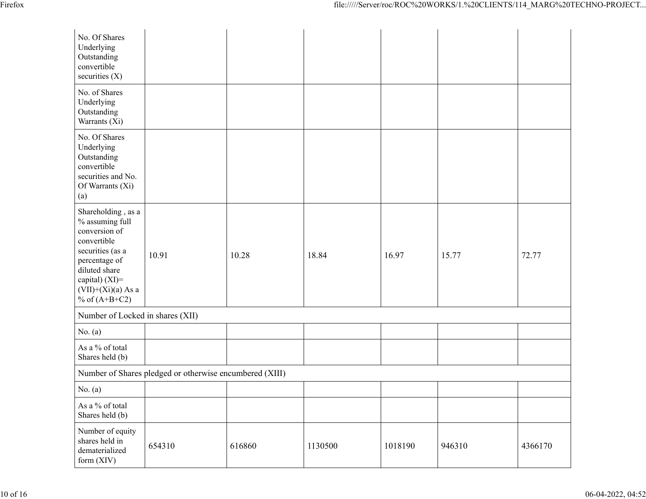| No. Of Shares<br>Underlying<br>Outstanding<br>convertible<br>securities $(X)$                                                                                                              |                                                         |        |         |         |        |         |
|--------------------------------------------------------------------------------------------------------------------------------------------------------------------------------------------|---------------------------------------------------------|--------|---------|---------|--------|---------|
| No. of Shares<br>Underlying<br>Outstanding<br>Warrants (Xi)                                                                                                                                |                                                         |        |         |         |        |         |
| No. Of Shares<br>Underlying<br>Outstanding<br>convertible<br>securities and No.<br>Of Warrants (Xi)<br>(a)                                                                                 |                                                         |        |         |         |        |         |
| Shareholding, as a<br>% assuming full<br>conversion of<br>convertible<br>securities (as a<br>percentage of<br>diluted share<br>capital) $(XI)=$<br>$(VII)+(Xi)(a)$ As a<br>% of $(A+B+C2)$ | 10.91                                                   | 10.28  | 18.84   | 16.97   | 15.77  | 72.77   |
| Number of Locked in shares (XII)                                                                                                                                                           |                                                         |        |         |         |        |         |
| No. $(a)$                                                                                                                                                                                  |                                                         |        |         |         |        |         |
| As a % of total<br>Shares held (b)                                                                                                                                                         |                                                         |        |         |         |        |         |
|                                                                                                                                                                                            | Number of Shares pledged or otherwise encumbered (XIII) |        |         |         |        |         |
| No. $(a)$                                                                                                                                                                                  |                                                         |        |         |         |        |         |
| As a % of total<br>Shares held (b)                                                                                                                                                         |                                                         |        |         |         |        |         |
| Number of equity<br>shares held in<br>dematerialized<br>form (XIV)                                                                                                                         | 654310                                                  | 616860 | 1130500 | 1018190 | 946310 | 4366170 |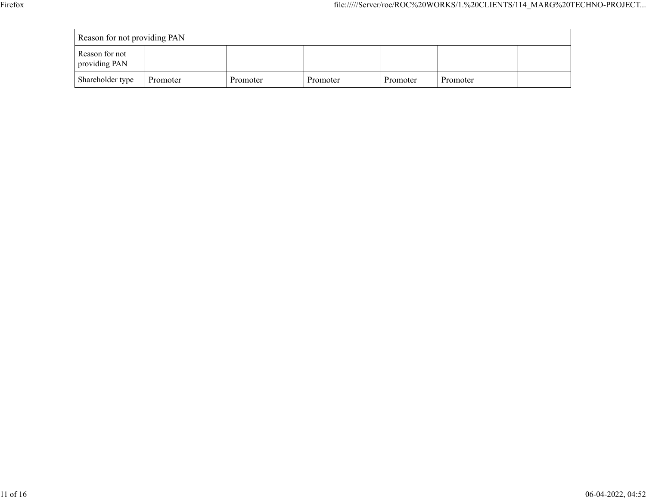| Reason for not providing PAN    |          |          |          |          |          |  |
|---------------------------------|----------|----------|----------|----------|----------|--|
| Reason for not<br>providing PAN |          |          |          |          |          |  |
| Shareholder type                | Promoter | Promoter | Promoter | Promoter | Promoter |  |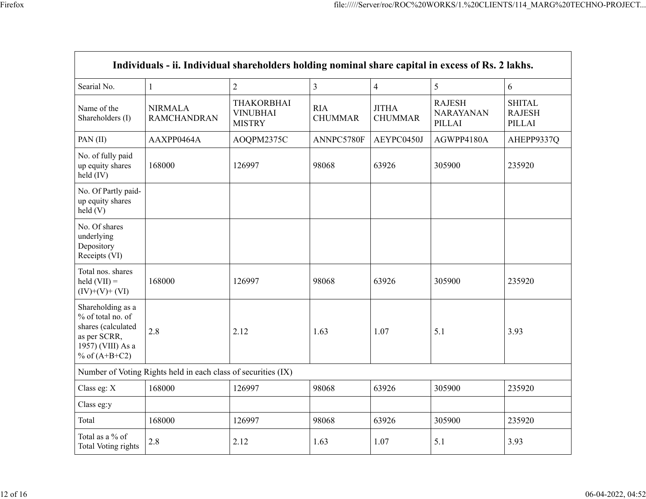|                                                                                                                      | Individuals - ii. Individual shareholders holding nominal share capital in excess of Rs. 2 lakhs. |                                                       |                              |                                |                                             |                                          |
|----------------------------------------------------------------------------------------------------------------------|---------------------------------------------------------------------------------------------------|-------------------------------------------------------|------------------------------|--------------------------------|---------------------------------------------|------------------------------------------|
| Searial No.                                                                                                          | $\mathbf{1}$                                                                                      | $\overline{2}$                                        | $\overline{3}$               | $\overline{4}$                 | 5                                           | 6                                        |
| Name of the<br>Shareholders (I)                                                                                      | <b>NIRMALA</b><br><b>RAMCHANDRAN</b>                                                              | <b>THAKORBHAI</b><br><b>VINUBHAI</b><br><b>MISTRY</b> | <b>RIA</b><br><b>CHUMMAR</b> | <b>JITHA</b><br><b>CHUMMAR</b> | <b>RAJESH</b><br><b>NARAYANAN</b><br>PILLAI | <b>SHITAL</b><br><b>RAJESH</b><br>PILLAI |
| PAN(II)                                                                                                              | AAXPP0464A                                                                                        | AOQPM2375C                                            | ANNPC5780F                   | AEYPC0450J                     | AGWPP4180A                                  | AHEPP9337Q                               |
| No. of fully paid<br>up equity shares<br>held (IV)                                                                   | 168000                                                                                            | 126997                                                | 98068                        | 63926                          | 305900                                      | 235920                                   |
| No. Of Partly paid-<br>up equity shares<br>held(V)                                                                   |                                                                                                   |                                                       |                              |                                |                                             |                                          |
| No. Of shares<br>underlying<br>Depository<br>Receipts (VI)                                                           |                                                                                                   |                                                       |                              |                                |                                             |                                          |
| Total nos. shares<br>$\text{held (VII)} =$<br>$(IV)+(V)+(VI)$                                                        | 168000                                                                                            | 126997                                                | 98068                        | 63926                          | 305900                                      | 235920                                   |
| Shareholding as a<br>% of total no. of<br>shares (calculated<br>as per SCRR,<br>1957) (VIII) As a<br>% of $(A+B+C2)$ | 2.8                                                                                               | 2.12                                                  | 1.63                         | 1.07                           | 5.1                                         | 3.93                                     |
|                                                                                                                      | Number of Voting Rights held in each class of securities (IX)                                     |                                                       |                              |                                |                                             |                                          |
| Class eg: X                                                                                                          | 168000                                                                                            | 126997                                                | 98068                        | 63926                          | 305900                                      | 235920                                   |
| Class eg:y                                                                                                           |                                                                                                   |                                                       |                              |                                |                                             |                                          |
| Total                                                                                                                | 168000                                                                                            | 126997                                                | 98068                        | 63926                          | 305900                                      | 235920                                   |
| Total as a % of<br><b>Total Voting rights</b>                                                                        | 2.8                                                                                               | 2.12                                                  | 1.63                         | 1.07                           | 5.1                                         | 3.93                                     |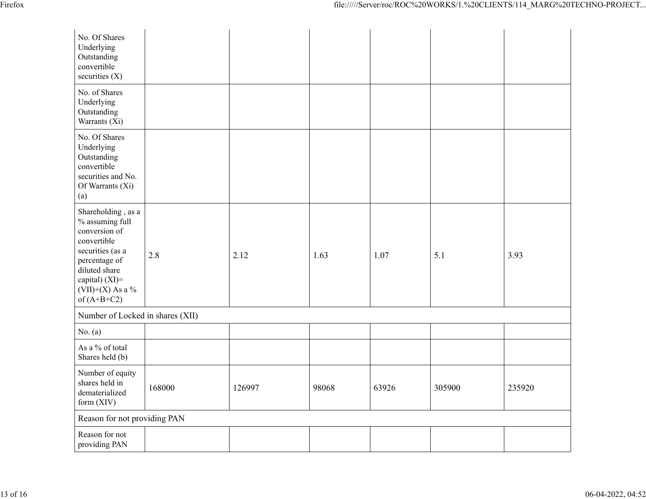| No. Of Shares<br>Underlying<br>Outstanding<br>convertible<br>securities $(X)$                                                                                                           |        |        |       |       |        |        |  |
|-----------------------------------------------------------------------------------------------------------------------------------------------------------------------------------------|--------|--------|-------|-------|--------|--------|--|
| No. of Shares<br>Underlying<br>Outstanding<br>Warrants (Xi)                                                                                                                             |        |        |       |       |        |        |  |
| No. Of Shares<br>Underlying<br>Outstanding<br>convertible<br>securities and No.<br>Of Warrants (Xi)<br>(a)                                                                              |        |        |       |       |        |        |  |
| Shareholding, as a<br>% assuming full<br>conversion of<br>convertible<br>securities (as a<br>percentage of<br>diluted share<br>capital) $(XI)$ =<br>$(VII)+(X)$ As a %<br>of $(A+B+C2)$ | 2.8    | 2.12   | 1.63  | 1.07  | 5.1    | 3.93   |  |
| Number of Locked in shares (XII)                                                                                                                                                        |        |        |       |       |        |        |  |
| No. $(a)$                                                                                                                                                                               |        |        |       |       |        |        |  |
| As a % of total<br>Shares held (b)                                                                                                                                                      |        |        |       |       |        |        |  |
| Number of equity<br>shares held in<br>dematerialized<br>form $(XIV)$                                                                                                                    | 168000 | 126997 | 98068 | 63926 | 305900 | 235920 |  |
| Reason for not providing PAN                                                                                                                                                            |        |        |       |       |        |        |  |
| Reason for not<br>providing PAN                                                                                                                                                         |        |        |       |       |        |        |  |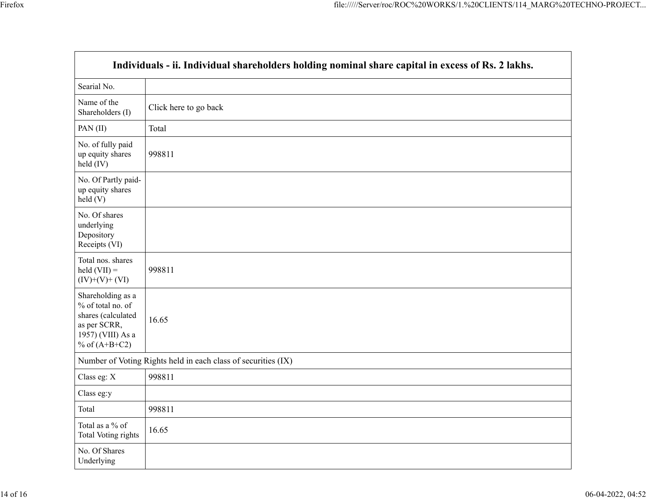$\mathbf{r}$ 

| Individuals - ii. Individual shareholders holding nominal share capital in excess of Rs. 2 lakhs.                    |                       |  |  |  |  |
|----------------------------------------------------------------------------------------------------------------------|-----------------------|--|--|--|--|
| Searial No.                                                                                                          |                       |  |  |  |  |
| Name of the<br>Shareholders (I)                                                                                      | Click here to go back |  |  |  |  |
| PAN(II)                                                                                                              | Total                 |  |  |  |  |
| No. of fully paid<br>up equity shares<br>held (IV)                                                                   | 998811                |  |  |  |  |
| No. Of Partly paid-<br>up equity shares<br>held(V)                                                                   |                       |  |  |  |  |
| No. Of shares<br>underlying<br>Depository<br>Receipts (VI)                                                           |                       |  |  |  |  |
| Total nos. shares<br>$\text{held (VII)} =$<br>$(IV)+(V)+(VI)$                                                        | 998811                |  |  |  |  |
| Shareholding as a<br>% of total no. of<br>shares (calculated<br>as per SCRR,<br>1957) (VIII) As a<br>% of $(A+B+C2)$ | 16.65                 |  |  |  |  |
| Number of Voting Rights held in each class of securities (IX)                                                        |                       |  |  |  |  |
| Class eg: X                                                                                                          | 998811                |  |  |  |  |
| Class eg:y                                                                                                           |                       |  |  |  |  |
| Total                                                                                                                | 998811                |  |  |  |  |
| Total as a % of<br><b>Total Voting rights</b>                                                                        | 16.65                 |  |  |  |  |
| No. Of Shares<br>Underlying                                                                                          |                       |  |  |  |  |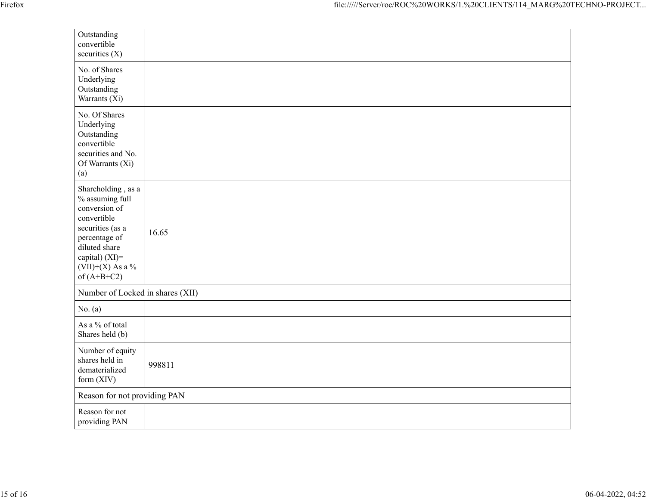| Outstanding<br>convertible<br>securities $(X)$                                                                                                                                       |        |  |  |  |
|--------------------------------------------------------------------------------------------------------------------------------------------------------------------------------------|--------|--|--|--|
| No. of Shares<br>Underlying<br>Outstanding<br>Warrants (Xi)                                                                                                                          |        |  |  |  |
| No. Of Shares<br>Underlying<br>Outstanding<br>convertible<br>securities and No.<br>Of Warrants (Xi)<br>(a)                                                                           |        |  |  |  |
| Shareholding, as a<br>% assuming full<br>conversion of<br>convertible<br>securities (as a<br>percentage of<br>diluted share<br>capital) (XI)=<br>$(VII)+(X)$ As a %<br>of $(A+B+C2)$ | 16.65  |  |  |  |
| Number of Locked in shares (XII)                                                                                                                                                     |        |  |  |  |
| No. $(a)$                                                                                                                                                                            |        |  |  |  |
| As a % of total<br>Shares held (b)                                                                                                                                                   |        |  |  |  |
| Number of equity<br>shares held in<br>dematerialized<br>form (XIV)                                                                                                                   | 998811 |  |  |  |
| Reason for not providing PAN                                                                                                                                                         |        |  |  |  |
| Reason for not<br>providing PAN                                                                                                                                                      |        |  |  |  |